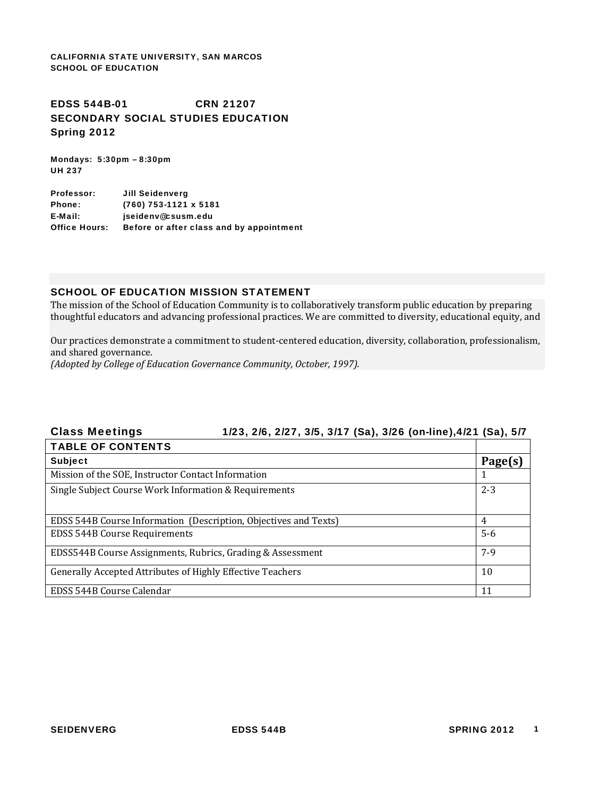CALIFORNIA STATE UNIVERSITY, SAN MARCOS SCHOOL OF EDUCATION

# EDSS 544B-01 CRN 21207 SECONDARY SOCIAL STUDIES EDUCATION Spring 2012

Mondays: 5:30pm – 8:30pm UH 237

Professor: Jill Seidenverg Phone: (760) 753-1121 x 5181 E-Mail: jseidenv@csusm.edu Office Hours: Before or after class and by appointment

#### SCHOOL OF EDUCATION MISSION STATEMENT

 The mission of the School of Education Community is to collaboratively transform public education by preparing thoughtful educators and advancing professional practices. We are committed to diversity, educational equity, and

and shared governance. Our practices demonstrate a commitment to student‐centered education, diversity, collaboration, professionalism,

 *(Adopted by College of Education Governance Community, October, 1997).*

# **Class Meetings** Class Meetings 1/23, 2/6, 2/27, 3/5, 3/17 (Sa), 3/26 (on-line),4/21 (Sa), 5/7 TABLE OF CONTENTS Subject **Page(s)** Mission of the SOE, Instructor Contact Information 1 Single Subject Course Work Information & Requirements 2‐3 EDSS 544B Course Information (Description, Objectives and Texts) 4 EDSS 544B Course Requirements 5‐6 EDSS544B Course Assignments, Rubrics, Grading & Assessment 7–9 (7–9) Generally Accepted Attributes of Highly Effective Teachers 10 10

EDSS 544B Course Calendar 11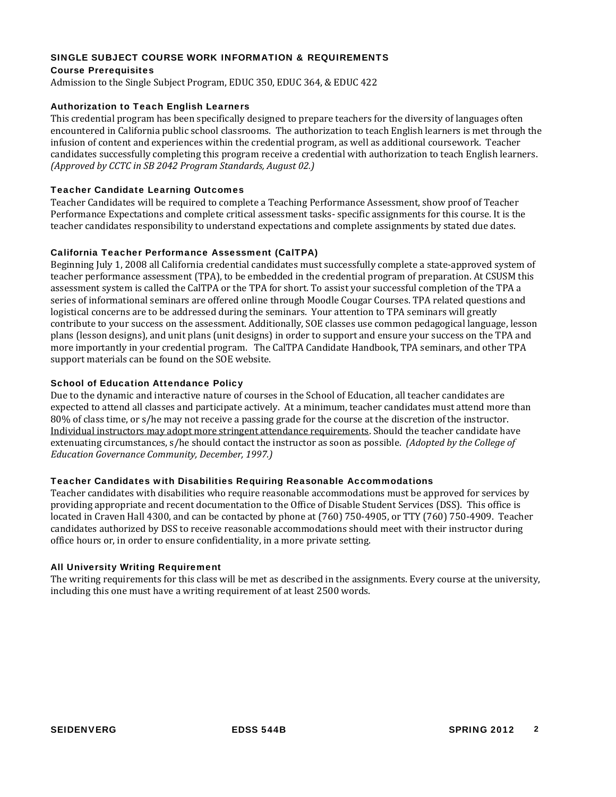#### SINGLE SUBJECT COURSE WORK INFORMATION & REQUIREMENTS

#### Course Prerequisites

Admission to the Single Subject Program, EDUC 350, EDUC 364, & EDUC 422

#### Authorization to Teach English Learners

 *(Approved by CCTC in SB 2042 Program Standards, August 02.)* This credential program has been specifically designed to prepare teachers for the diversity of languages often encountered in California public school classrooms. The authorization to teach English learners is met through the infusion of content and experiences within the credential program, as well as additional coursework. Teacher candidates successfully completing this program receive a credential with authorization to teach English learners.

#### Teacher Candidate Learning Outcomes

Teacher Candidates will be required to complete a Teaching Performance Assessment, show proof of Teacher Performance Expectations and complete critical assessment tasks- specific assignments for this course. It is the teacher candidates responsibility to understand expectations and complete assignments by stated due dates.

#### California Teacher Performance Assessment (CalTPA)

 assessment system is called the CalTPA or the TPA for short. To assist your successful completion of the TPA a logistical concerns are to be addressed during the seminars. Your attention to TPA seminars will greatly support materials can be found on the SOE website. Beginning July 1, 2008 all California credential candidates must successfully complete a state‐approved system of teacher performance assessment (TPA), to be embedded in the credential program of preparation. At CSUSM this series of informational seminars are offered online through Moodle Cougar Courses. TPA related questions and contribute to your success on the assessment. Additionally, SOE classes use common pedagogical language, lesson plans (lesson designs), and unit plans (unit designs) in order to support and ensure your success on the TPA and more importantly in your credential program. The CalTPA Candidate Handbook, TPA seminars, and other TPA

#### School of Education Attendance Policy

 80% of class time, or s/he may not receive a passing grade for the course at the discretion of the instructor.  extenuating circumstances, s/he should contact the instructor as soon as possible. *(Adopted by the College of Education Governance Community, December, 1997.)* Due to the dynamic and interactive nature of courses in the School of Education, all teacher candidates are expected to attend all classes and participate actively. At a minimum, teacher candidates must attend more than Individual instructors may adopt more stringent attendance requirements. Should the teacher candidate have

#### Teacher Candidates with Disabilities Requiring Reasonable Accommodations

 Teacher candidates with disabilities who require reasonable accommodations must be approved for services by providing appropriate and recent documentation to the Office of Disable Student Services (DSS). This office is located in Craven Hall 4300, and can be contacted by phone at (760) 750‐4905, or TTY (760) 750‐4909. Teacher candidates authorized by DSS to receive reasonable accommodations should meet with their instructor during office hours or, in order to ensure confidentiality, in a more private setting.

#### All University Writing Requirement

The writing requirements for this class will be met as described in the assignments. Every course at the university, including this one must have a writing requirement of at least 2500 words.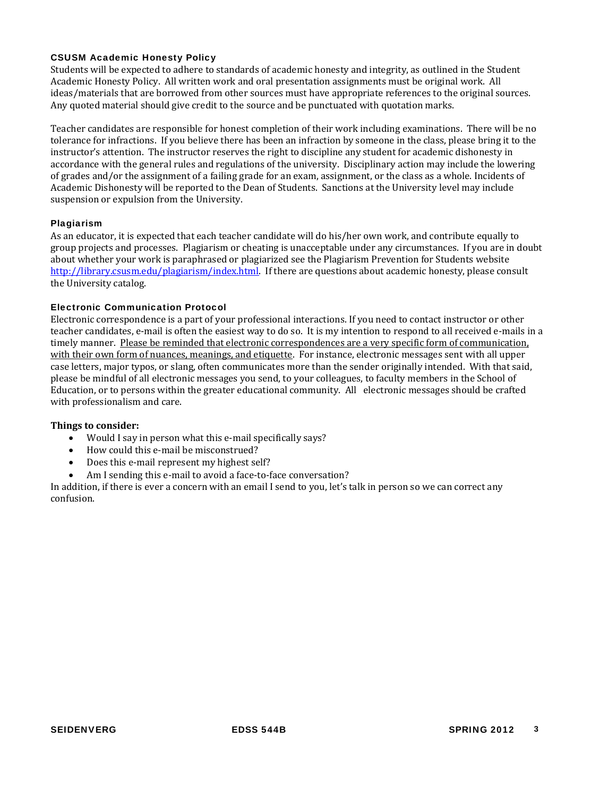#### CSUSM Academic Honesty Policy

 Students will be expected to adhere to standards of academic honesty and integrity, as outlined in the Student Any quoted material should give credit to the source and be punctuated with quotation marks. Academic Honesty Policy. All written work and oral presentation assignments must be original work. All ideas/materials that are borrowed from other sources must have appropriate references to the original sources.

 accordance with the general rules and regulations of the university. Disciplinary action may include the lowering Teacher candidates are responsible for honest completion of their work including examinations. There will be no tolerance for infractions. If you believe there has been an infraction by someone in the class, please bring it to the instructor's attention. The instructor reserves the right to discipline any student for academic dishonesty in of grades and/or the assignment of a failing grade for an exam, assignment, or the class as a whole. Incidents of Academic Dishonesty will be reported to the Dean of Students. Sanctions at the University level may include suspension or expulsion from the University.

#### Plagiarism

 about whether your work is paraphrased or plagiarized see the Plagiarism Prevention for Students website http://library.csusm.edu/plagiarism/index.html. If there are questions about academic honesty, please consult the University catalog. As an educator, it is expected that each teacher candidate will do his/her own work, and contribute equally to group projects and processes. Plagiarism or cheating is unacceptable under any circumstances. If you are in doubt

#### Electronic Communication Protocol

timely manner. Please be reminded that electronic correspondences are a very specific form of communication, case letters, major typos, or slang, often communicates more than the sender originally intended. With that said, Electronic correspondence is a part of your professional interactions. If you need to contact instructor or other teacher candidates, e-mail is often the easiest way to do so. It is my intention to respond to all received e-mails in a with their own form of nuances, meanings, and etiquette. For instance, electronic messages sent with all upper please be mindful of all electronic messages you send, to your colleagues, to faculty members in the School of Education, or to persons within the greater educational community. All electronic messages should be crafted with professionalism and care.

#### **Things to consider:**

- Would I say in person what this e-mail specifically says?
- How could this e-mail be misconstrued?
- Does this e-mail represent my highest self?
- Am I sending this e-mail to avoid a face-to-face conversation?

In addition, if there is ever a concern with an email I send to you, let's talk in person so we can correct any confusion.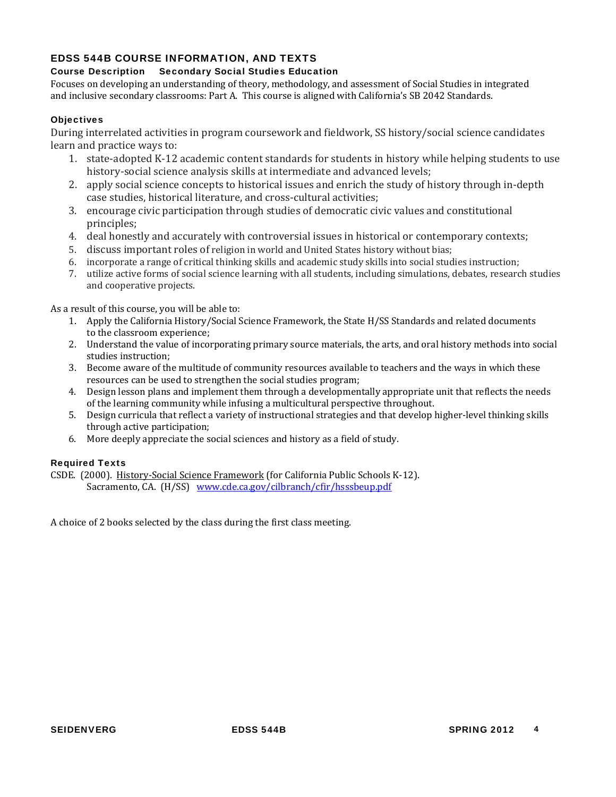# EDSS 544B COURSE INFORMATION, AND TEXTS

# Course Description Secondary Social Studies Education

Focuses on developing an understanding of theory, methodology, and assessment of Social Studies in integrated and inclusive secondary classrooms: Part A. This course is aligned with California's SB 2042 Standards.

### **Objectives**

During interrelated activities in program coursework and fieldwork, SS history/social science candidates learn and practice ways to:

- 1. state-adopted K-12 academic content standards for students in history while helping students to use history-social science analysis skills at intermediate and advanced levels;
- case studies, historical literature, and cross‐cultural activities; 2. apply social science concepts to historical issues and enrich the study of history through in‐depth
- 3. encourage civic participation through studies of democratic civic values and constitutional principles;
- 4. deal honestly and accurately with controversial issues in historical or contemporary contexts;
- 5. discuss important roles of religion in world and United States history without bias;
- 6. incorporate a range of critical thinking skills and academic study skills into social studies instruction;
- 7. utilize active forms of social science learning with all students, including simulations, debates, research studies and cooperative projects.

As a result of this course, you will be able to:

- 1. Apply the California History/Social Science Framework, the State H/SS Standards and related documents to the classroom experience;
- 2. Understand the value of incorporating primary source materials, the arts, and oral history methods into social studies instruction;
- 3. Become aware of the multitude of community resources available to teachers and the ways in which these resources can be used to strengthen the social studies program;
- 4. Design lesson plans and implement them through a developmentally appropriate unit that reflects the needs of the learning community while infusing a multicultural perspective throughout.
- 5. Design curricula that reflect a variety of instructional strategies and that develop higher-level thinking skills through active participation;
- 6. More deeply appreciate the social sciences and history as a field of study.

# Required Texts

CSDE. (2000). History‐Social Science Framework (for California Public Schools K‐12). Sacramento, CA. (H/SS) www.cde.ca.gov/cilbranch/cfir/hsssbeup.pdf

A choice of 2 books selected by the class during the first class meeting.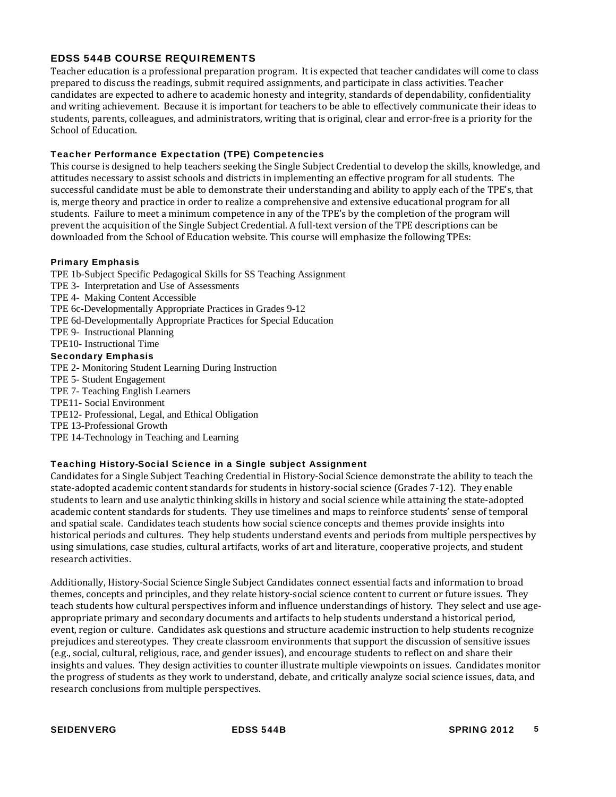# EDSS 544B COURSE REQUIREMENTS

 Teacher education is a professional preparation program. It is expected that teacher candidates will come to class prepared to discuss the readings, submit required assignments, and participate in class activities. Teacher candidates are expected to adhere to academic honesty and integrity, standards of dependability, confidentiality and writing achievement. Because it is important for teachers to be able to effectively communicate their ideas to students, parents, colleagues, and administrators, writing that is original, clear and error‐free is a priority for the School of Education.

## Teacher Performance Expectation (TPE) Competencies

 attitudes necessary to assist schools and districts in implementing an effective program for all students. The This course is designed to help teachers seeking the Single Subject Credential to develop the skills, knowledge, and successful candidate must be able to demonstrate their understanding and ability to apply each of the TPE's, that is, merge theory and practice in order to realize a comprehensive and extensive educational program for all students. Failure to meet a minimum competence in any of the TPE's by the completion of the program will prevent the acquisition of the Single Subject Credential. A full-text version of the TPE descriptions can be downloaded from the School of Education website. This course will emphasize the following TPEs:

### Primary Emphasis

TPE 1b-Subject Specific Pedagogical Skills for SS Teaching Assignment

- TPE 3- Interpretation and Use of Assessments
- TPE 4- Making Content Accessible
- TPE 6c-Developmentally Appropriate Practices in Grades 9-12
- TPE 6d-Developmentally Appropriate Practices for Special Education
- TPE 9- Instructional Planning
- TPE10- Instructional Time

### Secondary Emphasis

- TPE 2- Monitoring Student Learning During Instruction
- TPE 5- Student Engagement
- TPE 7- Teaching English Learners
- TPE11- Social Environment
- TPE12- Professional, Legal, and Ethical Obligation
- TPE 13-Professional Growth
- TPE 14-Technology in Teaching and Learning

#### Teaching History-Social Science in a Single subject Assignment

 Candidates for a Single Subject Teaching Credential in History‐Social Science demonstrate the ability to teach the state‐adopted academic content standards for students in history‐social science (Grades 7‐12). They enable students to learn and use analytic thinking skills in history and social science while attaining the state‐adopted academic content standards for students. They use timelines and maps to reinforce students' sense of temporal and spatial scale. Candidates teach students how social science concepts and themes provide insights into historical periods and cultures. They help students understand events and periods from multiple perspectives by using simulations, case studies, cultural artifacts, works of art and literature, cooperative projects, and student research activities.

 (e.g., social, cultural, religious, race, and gender issues), and encourage students to reflect on and share their Additionally, History‐Social Science Single Subject Candidates connect essential facts and information to broad themes, concepts and principles, and they relate history-social science content to current or future issues. They teach students how cultural perspectives inform and influence understandings of history. They select and use ageappropriate primary and secondary documents and artifacts to help students understand a historical period, event, region or culture. Candidates ask questions and structure academic instruction to help students recognize prejudices and stereotypes. They create classroom environments that support the discussion of sensitive issues insights and values. They design activities to counter illustrate multiple viewpoints on issues. Candidates monitor the progress of students as they work to understand, debate, and critically analyze social science issues, data, and research conclusions from multiple perspectives.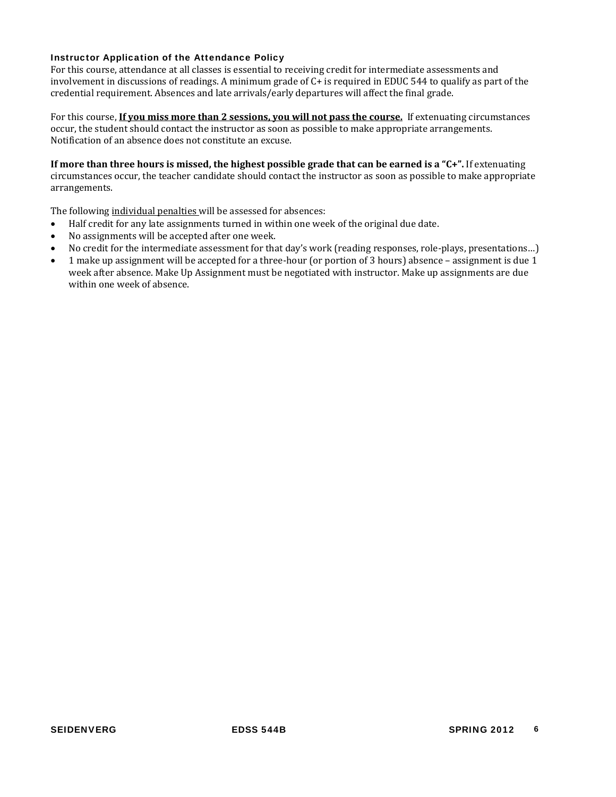#### Instructor Application of the Attendance Policy

 credential requirement. Absences and late arrivals/early departures will affect the final grade. For this course, attendance at all classes is essential to receiving credit for intermediate assessments and involvement in discussions of readings. A minimum grade of C+ is required in EDUC 544 to qualify as part of the

For this course, If you miss more than 2 sessions, you will not pass the course. If extenuating circumstances occur, the student should contact the instructor as soon as possible to make appropriate arrangements. Notification of an absence does not constitute an excuse.

If more than three hours is missed, the highest possible grade that can be earned is a "C+". If extenuating circumstances occur, the teacher candidate should contact the instructor as soon as possible to make appropriate arrangements.

The following individual penalties will be assessed for absences:

- Half credit for any late assignments turned in within one week of the original due date.
- No assignments will be accepted after one week.
- No credit for the intermediate assessment for that day's work (reading responses, role-plays, presentations...)
- 1 make up assignment will be accepted for a three-hour (or portion of 3 hours) absence assignment is due 1 week after absence. Make Up Assignment must be negotiated with instructor. Make up assignments are due within one week of absence.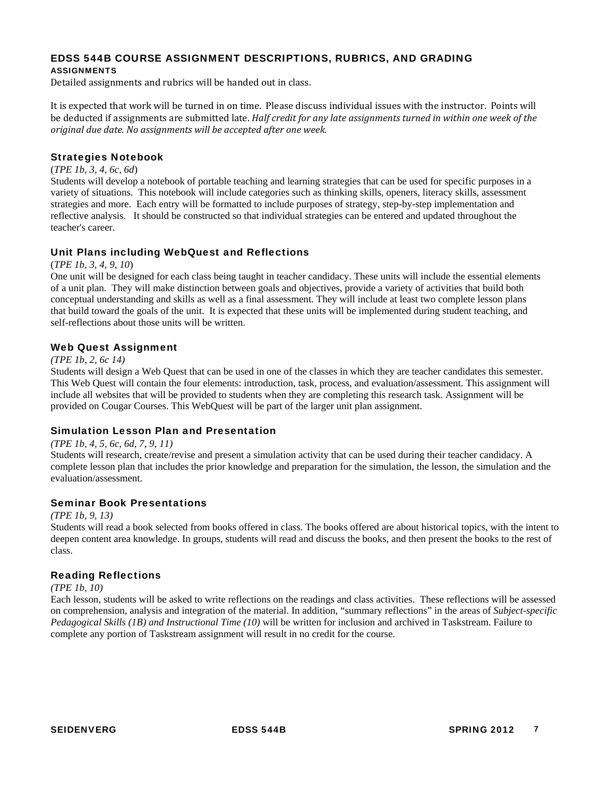#### EDSS 544B COURSE ASSIGNMENT DESCRIPTIONS, RUBRICS, AND GRADING ASSIGNMENTS

Detailed assignments and rubrics will be handed out in class.

be deducted if assignments are submitted late. Half credit for any late assignments turned in within one week of the  *original due date. No assignments will be accepted after one week.* It is expected that work will be turned in on time. Please discuss individual issues with the instructor. Points will

#### Strategies Notebook

#### (*TPE 1b, 3, 4, 6c, 6d*)

Students will develop a notebook of portable teaching and learning strategies that can be used for specific purposes in a variety of situations. This notebook will include categories such as thinking skills, openers, literacy skills, assessment strategies and more. Each entry will be formatted to include purposes of strategy, step-by-step implementation and reflective analysis. It should be constructed so that individual strategies can be entered and updated throughout the teacher's career.

### Unit Plans including WebQuest and Reflections

(*TPE 1b, 3, 4, 9, 10*)

 of a unit plan. They will make distinction between goals and objectives, provide a variety of activities that build both One unit will be designed for each class being taught in teacher candidacy. These units will include the essential elements conceptual understanding and skills as well as a final assessment. They will include at least two complete lesson plans that build toward the goals of the unit. It is expected that these units will be implemented during student teaching, and self-reflections about those units will be written.

#### Web Quest Assignment

#### *(TPE 1b, 2, 6c 14)*

 provided on Cougar Courses. This WebQuest will be part of the larger unit plan assignment. Students will design a Web Quest that can be used in one of the classes in which they are teacher candidates this semester. This Web Quest will contain the four elements: introduction, task, process, and evaluation/assessment. This assignment will include all websites that will be provided to students when they are completing this research task. Assignment will be

# Simulation Lesson Plan and Presentation

*(TPE 1b, 4, 5, 6c, 6d, 7, 9, 11)* 

 Students will research, create/revise and present a simulation activity that can be used during their teacher candidacy. A complete lesson plan that includes the prior knowledge and preparation for the simulation, the lesson, the simulation and the evaluation/assessment.

#### Seminar Book Presentations

*(TPE 1b, 9, 13)* 

Students will read a book selected from books offered in class. The books offered are about historical topics, with the intent to deepen content area knowledge. In groups, students will read and discuss the books, and then present the books to the rest of class.

#### Reading Reflections

#### *(TPE 1b, 10)*

Each lesson, students will be asked to write reflections on the readings and class activities. These reflections will be assessed on comprehension, analysis and integration of the material. In addition, "summary reflections" in the areas of *Subject-specific Pedagogical Skills (1B) and Instructional Time (10)* will be written for inclusion and archived in Taskstream. Failure to complete any portion of Taskstream assignment will result in no credit for the course.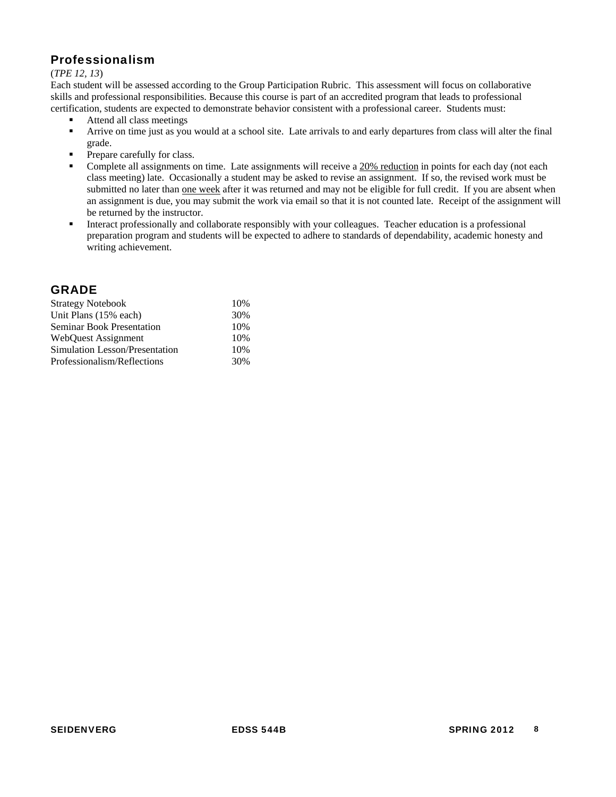# Professionalism

#### (*TPE 12, 13*)

Each student will be assessed according to the Group Participation Rubric. This assessment will focus on collaborative skills and professional responsibilities. Because this course is part of an accredited program that leads to professional certification, students are expected to demonstrate behavior consistent with a professional career. Students must:

- Attend all class meetings
- grade. Arrive on time just as you would at a school site. Late arrivals to and early departures from class will alter the final
- Prepare carefully for class.
- submitted no later than one week after it was returned and may not be eligible for full credit. If you are absent when Complete all assignments on time. Late assignments will receive a  $20%$  reduction in points for each day (not each class meeting) late. Occasionally a student may be asked to revise an assignment. If so, the revised work must be an assignment is due, you may submit the work via email so that it is not counted late. Receipt of the assignment will be returned by the instructor.
- Interact professionally and collaborate responsibly with your colleagues. Teacher education is a professional preparation program and students will be expected to adhere to standards of dependability, academic honesty and writing achievement.

# GRADE

| <b>Strategy Notebook</b>         | 10% |
|----------------------------------|-----|
| Unit Plans (15% each)            | 30% |
| <b>Seminar Book Presentation</b> | 10% |
| <b>WebQuest Assignment</b>       | 10% |
| Simulation Lesson/Presentation   | 10% |
| Professionalism/Reflections      | 30% |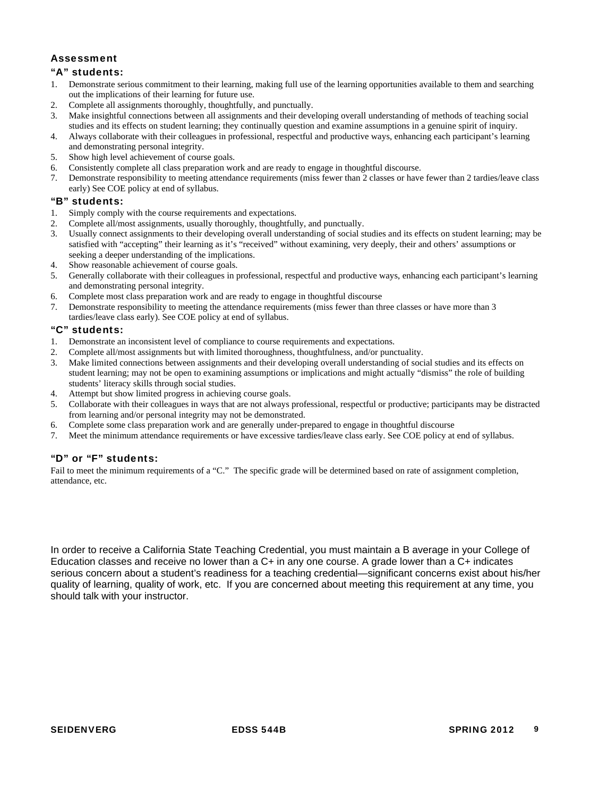# Assessment

#### "A" students:

- 1. Demonstrate serious commitment to their learning, making full use of the learning opportunities available to them and searching out the implications of their learning for future use.
- 
- 2. Complete all assignments thoroughly, thoughtfully, and punctually.<br>
3. Make insightful connections between all assignments and their deve Make insightful connections between all assignments and their developing overall understanding of methods of teaching social studies and its effects on student learning; they continually question and examine assumptions in a genuine spirit of inquiry.
- 4. Always collaborate with their colleagues in professional, respectful and productive ways, enhancing each participant's learning and demonstrating personal integrity.
- 5. Show high level achievement of course goals.
- 6. Consistently complete all class preparation work and are ready to engage in thoughtful discourse.
- 7. Demonstrate responsibility to meeting attendance requirements (miss fewer than 2 classes or have fewer than 2 tardies/leave class early) See COE policy at end of syllabus.

#### "B" students:

- 1. Simply comply with the course requirements and expectations.
- 2. Complete all/most assignments, usually thoroughly, thoughtfully, and punctually.
- 3. Usually connect assignments to their developing overall understanding of social studies and its effects on student learning; may be satisfied with "accepting" their learning as it's "received" without examining, very deeply, their and others' assumptions or seeking a deeper understanding of the implications.
- 4. Show reasonable achievement of course goals.
- 5. Generally collaborate with their colleagues in professional, respectful and productive ways, enhancing each participant's learning and demonstrating personal integrity.
- 6. Complete most class preparation work and are ready to engage in thoughtful discourse
- 7. Demonstrate responsibility to meeting the attendance requirements (miss fewer than three classes or have more than 3 tardies/leave class early). See COE policy at end of syllabus.

#### "C" students:

- 1. Demonstrate an inconsistent level of compliance to course requirements and expectations.
- 2. Complete all/most assignments but with limited thoroughness, thoughtfulness, and/or punctuality.
- 3. Make limited connections between assignments and their developing overall understanding of social studies and its effects on student learning; may not be open to examining assumptions or implications and might actually "dismiss" the role of building students' literacy skills through social studies.
- 4. Attempt but show limited progress in achieving course goals.
- 5. Collaborate with their colleagues in ways that are not always professional, respectful or productive; participants may be distracted from learning and/or personal integrity may not be demonstrated.
- 6. Complete some class preparation work and are generally under-prepared to engage in thoughtful discourse
- 7. Meet the minimum attendance requirements or have excessive tardies/leave class early. See COE policy at end of syllabus.

#### "D" or "F" students:

 attendance, etc. Fail to meet the minimum requirements of a "C." The specific grade will be determined based on rate of assignment completion,

In order to receive a California State Teaching Credential, you must maintain a B average in your College of Education classes and receive no lower than a C+ in any one course. A grade lower than a C+ indicates serious concern about a student's readiness for a teaching credential—significant concerns exist about his/her quality of learning, quality of work, etc. If you are concerned about meeting this requirement at any time, you should talk with your instructor.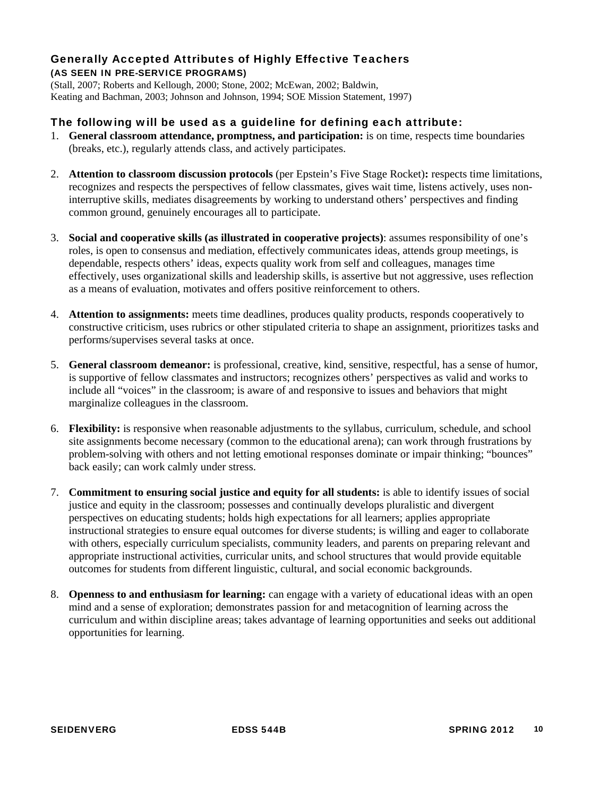# Generally Accepted Attributes of Highly Effective Teachers (AS SEEN IN PRE-SERVICE PROGRAMS)

(Stall, 2007; Roberts and Kellough, 2000; Stone, 2002; McEwan, 2002; Baldwin, Keating and Bachman, 2003; Johnson and Johnson, 1994; SOE Mission Statement, 1997)

# The following will be used as a guideline for defining each attribute:

- 1. **General classroom attendance, promptness, and participation:** is on time, respects time boundaries (breaks, etc.), regularly attends class, and actively participates.
- 2. **Attention to classroom discussion protocols** (per Epstein's Five Stage Rocket)**:** respects time limitations, recognizes and respects the perspectives of fellow classmates, gives wait time, listens actively, uses noninterruptive skills, mediates disagreements by working to understand others' perspectives and finding common ground, genuinely encourages all to participate.
- 3. **Social and cooperative skills (as illustrated in cooperative projects)**: assumes responsibility of one's roles, is open to consensus and mediation, effectively communicates ideas, attends group meetings, is dependable, respects others' ideas, expects quality work from self and colleagues, manages time effectively, uses organizational skills and leadership skills, is assertive but not aggressive, uses reflection as a means of evaluation, motivates and offers positive reinforcement to others.
- 4. **Attention to assignments:** meets time deadlines, produces quality products, responds cooperatively to constructive criticism, uses rubrics or other stipulated criteria to shape an assignment, prioritizes tasks and performs/supervises several tasks at once.
- 5. **General classroom demeanor:** is professional, creative, kind, sensitive, respectful, has a sense of humor, is supportive of fellow classmates and instructors; recognizes others' perspectives as valid and works to include all "voices" in the classroom; is aware of and responsive to issues and behaviors that might marginalize colleagues in the classroom.
- 6. **Flexibility:** is responsive when reasonable adjustments to the syllabus, curriculum, schedule, and school site assignments become necessary (common to the educational arena); can work through frustrations by problem-solving with others and not letting emotional responses dominate or impair thinking; "bounces" back easily; can work calmly under stress.
- 7. **Commitment to ensuring social justice and equity for all students:** is able to identify issues of social justice and equity in the classroom; possesses and continually develops pluralistic and divergent perspectives on educating students; holds high expectations for all learners; applies appropriate instructional strategies to ensure equal outcomes for diverse students; is willing and eager to collaborate with others, especially curriculum specialists, community leaders, and parents on preparing relevant and appropriate instructional activities, curricular units, and school structures that would provide equitable outcomes for students from different linguistic, cultural, and social economic backgrounds.
- 8. **Openness to and enthusiasm for learning:** can engage with a variety of educational ideas with an open mind and a sense of exploration; demonstrates passion for and metacognition of learning across the curriculum and within discipline areas; takes advantage of learning opportunities and seeks out additional opportunities for learning.